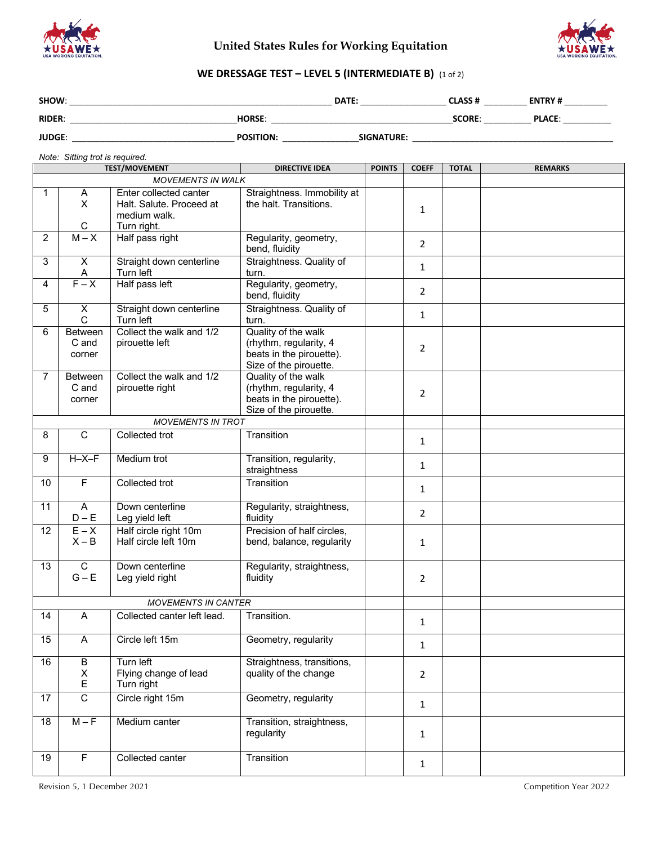

## **United States Rules for Working Equitation**



# **WE DRESSAGE TEST – LEVEL 5 (INTERMEDIATE B)** (1 of 2)

| SHOW:         |                  | DATE:             | <b>CLASS#</b> | <b>ENTRY#</b> |  |
|---------------|------------------|-------------------|---------------|---------------|--|
| <b>RIDER:</b> | <b>HORSE:</b>    |                   | <b>SCORE:</b> | <b>PLACE:</b> |  |
| <b>JUDGE:</b> | <b>POSITION:</b> | <b>SIGNATURE:</b> |               |               |  |

*Note: Sitting trot is required.*

|                |                                   | <b>TEST/MOVEMENT</b>                                                              | <b>DIRECTIVE IDEA</b>                                                                               | <b>POINTS</b> | <b>COEFF</b>   | <b>TOTAL</b> | <b>REMARKS</b> |
|----------------|-----------------------------------|-----------------------------------------------------------------------------------|-----------------------------------------------------------------------------------------------------|---------------|----------------|--------------|----------------|
|                | <b>MOVEMENTS IN WALK</b>          |                                                                                   |                                                                                                     |               |                |              |                |
| 1              | Α<br>X<br>C                       | Enter collected canter<br>Halt. Salute. Proceed at<br>medium walk.<br>Turn right. | Straightness. Immobility at<br>the halt. Transitions.                                               |               | 1              |              |                |
| $\overline{2}$ | $M - X$                           | Half pass right                                                                   | Regularity, geometry,<br>bend, fluidity                                                             |               | $\overline{2}$ |              |                |
| 3              | $\times$<br>$\frac{A}{F-X}$       | Straight down centerline<br>Turn left                                             | Straightness. Quality of<br>turn.                                                                   |               | 1              |              |                |
| 4              |                                   | Half pass left                                                                    | Regularity, geometry,<br>bend, fluidity                                                             |               | $\overline{2}$ |              |                |
| 5              | $\pmb{\times}$<br>$\mathsf C$     | Straight down centerline<br>Turn left                                             | Straightness. Quality of<br>turn.                                                                   |               | $\mathbf{1}$   |              |                |
| 6              | <b>Between</b><br>C and<br>corner | Collect the walk and 1/2<br>pirouette left                                        | Quality of the walk<br>(rhythm, regularity, 4<br>beats in the pirouette).<br>Size of the pirouette. |               | 2              |              |                |
| 7              | <b>Between</b><br>C and<br>corner | Collect the walk and 1/2<br>pirouette right                                       | Quality of the walk<br>(rhythm, regularity, 4<br>beats in the pirouette).<br>Size of the pirouette. |               | 2              |              |                |
|                |                                   | <b>MOVEMENTS IN TROT</b>                                                          |                                                                                                     |               |                |              |                |
| 8              | $\overline{C}$                    | <b>Collected trot</b>                                                             | Transition                                                                                          |               | 1              |              |                |
| 9              | $H - X - F$                       | Medium trot                                                                       | Transition, regularity,<br>straightness                                                             |               | 1              |              |                |
| 10             | F                                 | Collected trot                                                                    | Transition                                                                                          |               | 1              |              |                |
| 11             | A<br>$D - E$                      | Down centerline<br>Leg yield left                                                 | Regularity, straightness,<br>fluidity                                                               |               | $\overline{2}$ |              |                |
| 12             | $E - X$<br>$X - B$                | Half circle right 10m<br>Half circle left 10m                                     | Precision of half circles,<br>bend, balance, regularity                                             |               | 1              |              |                |
| 13             | $\overline{C}$<br>$G - E$         | Down centerline<br>Leg yield right                                                | Regularity, straightness,<br>fluidity                                                               |               | 2              |              |                |
|                |                                   | <b>MOVEMENTS IN CANTER</b>                                                        |                                                                                                     |               |                |              |                |
| 14             | A                                 | Collected canter left lead.                                                       | Transition.                                                                                         |               | 1              |              |                |
| 15             | A                                 | Circle left 15m                                                                   | Geometry, regularity                                                                                |               | 1              |              |                |
| 16             | $\overline{B}$<br>X<br>Е          | Turn left<br>Flying change of lead<br>Turn right                                  | Straightness, transitions,<br>quality of the change                                                 |               | $\overline{2}$ |              |                |
| 17             | $\overline{C}$                    | Circle right 15m                                                                  | Geometry, regularity                                                                                |               | $\mathbf{1}$   |              |                |
| 18             | $M - F$                           | Medium canter                                                                     | Transition, straightness,<br>regularity                                                             |               | 1              |              |                |
| 19             | $\overline{F}$                    | Collected canter                                                                  | Transition                                                                                          |               | 1              |              |                |